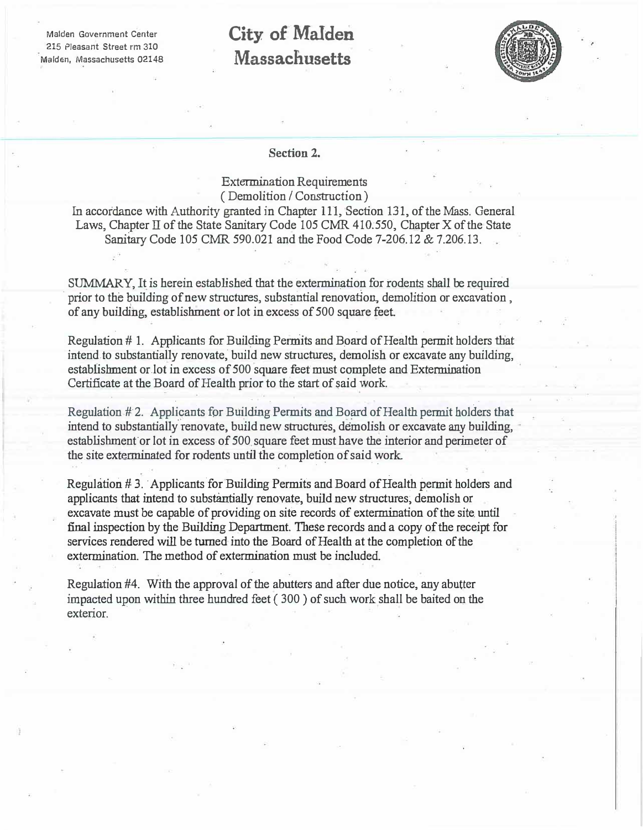Malden Government Center 215 Pleasant Street rm 310 Malden, Massachusetts 02148

## **City of Malden Massachusetts**



#### **Section 2.**

Extermination Requirements ( Demolition *I* Construction )

In accordance with Authority granted in Chapter 111. Section 131, of the Mass. General Laws, Chapter II of the State Sanitary Code 105 CMR 410.550, Chapter X of the State Sanitary Code 105 CMR 590.021 and the Food Code 7-206.12 & 7.206.13.

SUMMARY, It is herein established that the extermination for rodents shall be required prior to the building of new structures, substantial renovation, demolition or excavation, of any building, establishment or lot in excess of 500 square feet

Regulation # 1. Applicants for Building Permits and Board of Health permit holders that intend to substantially renovate, build new structures, demolish or excavate any building, establishment or.lot in excess of 500 square feet must complete and Extermination Certificate at the Board of Health prior to the start of said work.

Regulation #2. Applicants for Building Permits and Board of Health permit holders that intend to substantially renovate, build new structures, demolish or excavate any building, establishment'or lot in excess of 500 square feet must have the interior and perimeter of the site exterminated for rodents until the completion of said work.

. . . .

Regulation #3. Applicants for Building Permits and Board of Health permit holders and applicants that intend to substantially renovate, build new structures; demolish or excavate must be capable of providing on site records of extermination of the site until final inspection by the Building Department. These records and a copy of the receipt for services rendered will be turned into the Board of Health at the completion of the extermination. The method of extermination must be included

Regulation #4. With the approval of the abutters and after due notice, any abutter impacted upon within three hundred feet ( 300 ) of such work shall be baited on the exterior.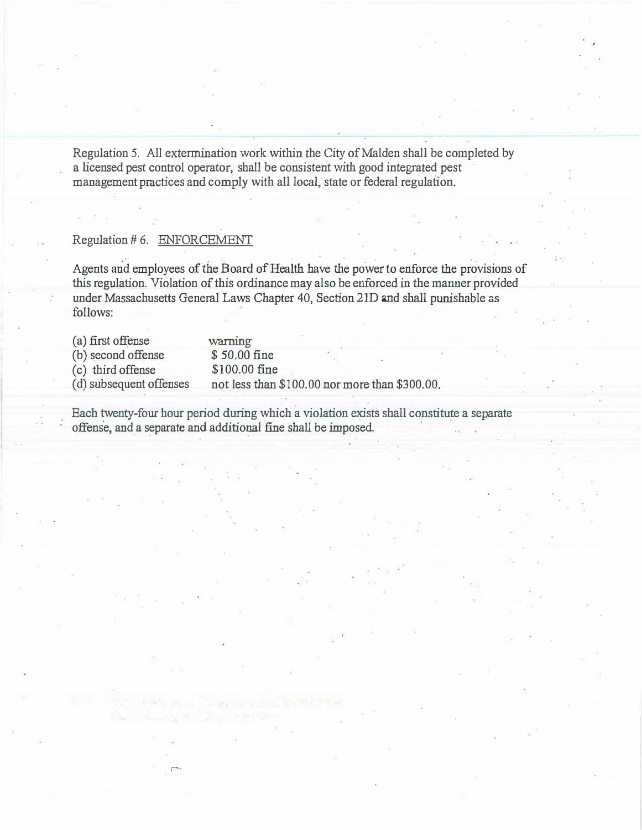Regulation 5. All extermination work within the City of Malden shall be completed by a licensed pest control operator, shall be consistent with good integrated pest management practices and comply with all local, state or federal regulation.

### Regulation# 6. ENFORCEMENT

r-

Agents and employees of the Board of Health have the power to enforce the provisions of this regulation. Violation of this ordinance may also be enforced in the manner provided under Massachusetts General Laws Chapter 40, Section 21D and shall punishable as follows:

| (a) first offense       | warning                                        |  |  |
|-------------------------|------------------------------------------------|--|--|
| (b) second offense      | \$50.00 fine                                   |  |  |
| (c) third offense       | \$100.00 fine                                  |  |  |
| (d) subsequent offenses | not less than \$100.00 nor more than \$300.00. |  |  |

Each twenty-four hour period during which a violation exists shall constitute a separate offense, and a separate and additional fine shall be imposed.